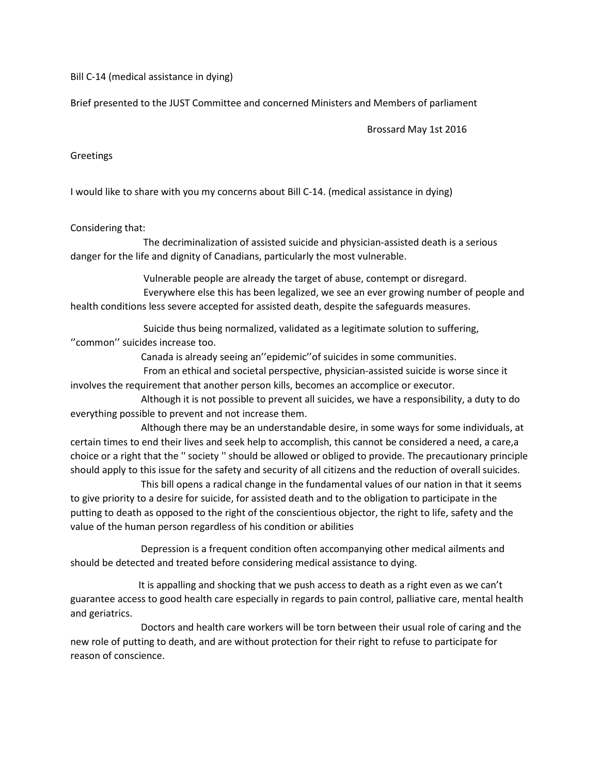Bill C-14 (medical assistance in dying)

Brief presented to the JUST Committee and concerned Ministers and Members of parliament

Brossard May 1st 2016

Greetings

I would like to share with you my concerns about Bill C-14. (medical assistance in dying)

Considering that:

 The decriminalization of assisted suicide and physician-assisted death is a serious danger for the life and dignity of Canadians, particularly the most vulnerable.

Vulnerable people are already the target of abuse, contempt or disregard.

 Everywhere else this has been legalized, we see an ever growing number of people and health conditions less severe accepted for assisted death, despite the safeguards measures.

 Suicide thus being normalized, validated as a legitimate solution to suffering, ''common'' suicides increase too.

Canada is already seeing an''epidemic''of suicides in some communities.

 From an ethical and societal perspective, physician-assisted suicide is worse since it involves the requirement that another person kills, becomes an accomplice or executor.

 Although it is not possible to prevent all suicides, we have a responsibility, a duty to do everything possible to prevent and not increase them.

 Although there may be an understandable desire, in some ways for some individuals, at certain times to end their lives and seek help to accomplish, this cannot be considered a need, a care,a choice or a right that the '' society '' should be allowed or obliged to provide. The precautionary principle should apply to this issue for the safety and security of all citizens and the reduction of overall suicides.

 This bill opens a radical change in the fundamental values of our nation in that it seems to give priority to a desire for suicide, for assisted death and to the obligation to participate in the putting to death as opposed to the right of the conscientious objector, the right to life, safety and the value of the human person regardless of his condition or abilities

 Depression is a frequent condition often accompanying other medical ailments and should be detected and treated before considering medical assistance to dying.

 It is appalling and shocking that we push access to death as a right even as we can't guarantee access to good health care especially in regards to pain control, palliative care, mental health and geriatrics.

 Doctors and health care workers will be torn between their usual role of caring and the new role of putting to death, and are without protection for their right to refuse to participate for reason of conscience.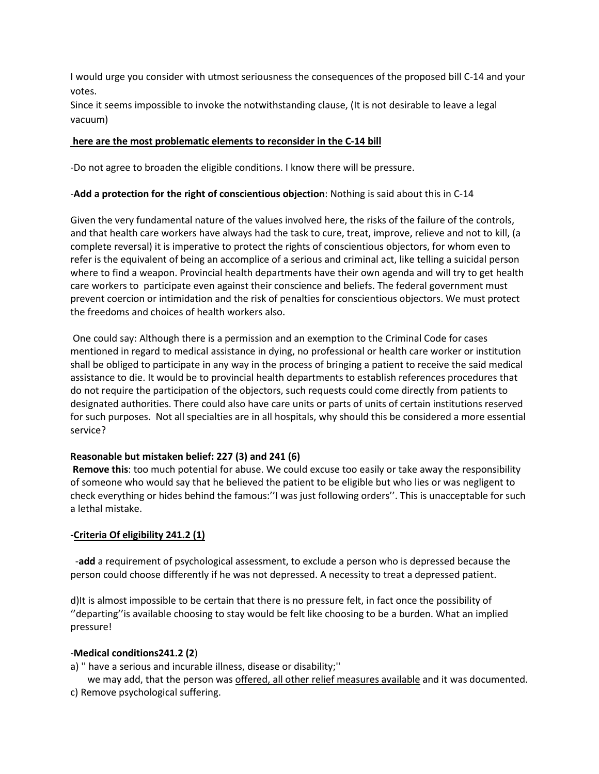I would urge you consider with utmost seriousness the consequences of the proposed bill C-14 and your votes.

Since it seems impossible to invoke the notwithstanding clause, (It is not desirable to leave a legal vacuum)

### **here are the most problematic elements to reconsider in the C-14 bill**

-Do not agree to broaden the eligible conditions. I know there will be pressure.

# -**Add a protection for the right of conscientious objection**: Nothing is said about this in C-14

Given the very fundamental nature of the values involved here, the risks of the failure of the controls, and that health care workers have always had the task to cure, treat, improve, relieve and not to kill, (a complete reversal) it is imperative to protect the rights of conscientious objectors, for whom even to refer is the equivalent of being an accomplice of a serious and criminal act, like telling a suicidal person where to find a weapon. Provincial health departments have their own agenda and will try to get health care workers to participate even against their conscience and beliefs. The federal government must prevent coercion or intimidation and the risk of penalties for conscientious objectors. We must protect the freedoms and choices of health workers also.

One could say: Although there is a permission and an exemption to the Criminal Code for cases mentioned in regard to medical assistance in dying, no professional or health care worker or institution shall be obliged to participate in any way in the process of bringing a patient to receive the said medical assistance to die. It would be to provincial health departments to establish references procedures that do not require the participation of the objectors, such requests could come directly from patients to designated authorities. There could also have care units or parts of units of certain institutions reserved for such purposes. Not all specialties are in all hospitals, why should this be considered a more essential service?

# **Reasonable but mistaken belief: 227 (3) and 241 (6)**

**Remove this**: too much potential for abuse. We could excuse too easily or take away the responsibility of someone who would say that he believed the patient to be eligible but who lies or was negligent to check everything or hides behind the famous:''I was just following orders''. This is unacceptable for such a lethal mistake.

# **-Criteria Of eligibility 241.2 (1)**

 -**add** a requirement of psychological assessment, to exclude a person who is depressed because the person could choose differently if he was not depressed. A necessity to treat a depressed patient.

d)It is almost impossible to be certain that there is no pressure felt, in fact once the possibility of ''departing''is available choosing to stay would be felt like choosing to be a burden. What an implied pressure!

# -**Medical conditions241.2 (2**)

a) '' have a serious and incurable illness, disease or disability;''

we may add, that the person was offered, all other relief measures available and it was documented. c) Remove psychological suffering.